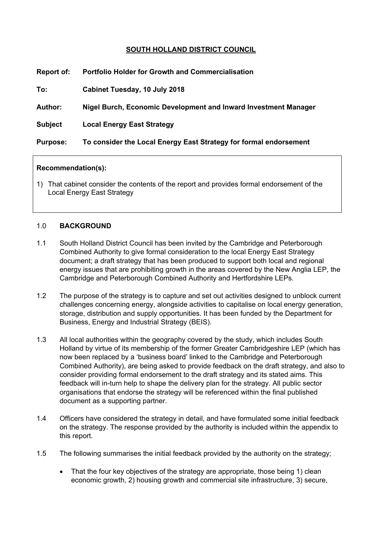# **SOUTH HOLLAND DISTRICT COUNCIL**

| Report of:      | <b>Portfolio Holder for Growth and Commercialisation</b>          |
|-----------------|-------------------------------------------------------------------|
| To:             | Cabinet Tuesday, 10 July 2018                                     |
| <b>Author:</b>  | Nigel Burch, Economic Development and Inward Investment Manager   |
| <b>Subject</b>  | <b>Local Energy East Strategy</b>                                 |
| <b>Purpose:</b> | To consider the Local Energy East Strategy for formal endorsement |

### **Recommendation(s):**

1) That cabinet consider the contents of the report and provides formal endorsement of the Local Energy East Strategy

### 1.0 **BACKGROUND**

- 1.1 South Holland District Council has been invited by the Cambridge and Peterborough Combined Authority to give formal consideration to the local Energy East Strategy document; a draft strategy that has been produced to support both local and regional energy issues that are prohibiting growth in the areas covered by the New Anglia LEP, the Cambridge and Peterborough Combined Authority and Hertfordshire LEPs.
- 1.2 The purpose of the strategy is to capture and set out activities designed to unblock current challenges concerning energy, alongside activities to capitalise on local energy generation, storage, distribution and supply opportunities. It has been funded by the Department for Business, Energy and Industrial Strategy (BEIS).
- 1.3 All local authorities within the geography covered by the study, which includes South Holland by virtue of its membership of the former Greater Cambridgeshire LEP (which has now been replaced by a 'business board' linked to the Cambridge and Peterborough Combined Authority), are being asked to provide feedback on the draft strategy, and also to consider providing formal endorsement to the draft strategy and its stated aims. This feedback will in-turn help to shape the delivery plan for the strategy. All public sector organisations that endorse the strategy will be referenced within the final published document as a supporting partner.
- 1.4 Officers have considered the strategy in detail, and have formulated some initial feedback on the strategy. The response provided by the authority is included within the appendix to this report.
- 1.5 The following summarises the initial feedback provided by the authority on the strategy;
	- That the four key objectives of the strategy are appropriate, those being 1) clean economic growth, 2) housing growth and commercial site infrastructure, 3) secure,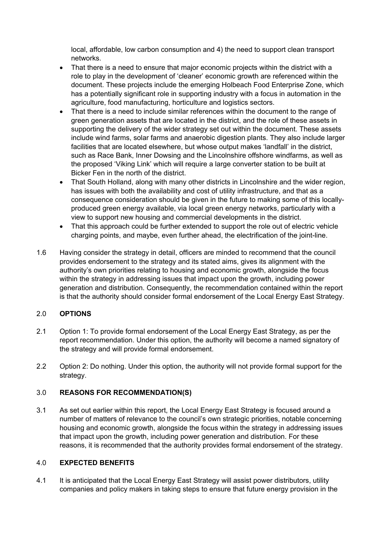local, affordable, low carbon consumption and 4) the need to support clean transport networks.

- That there is a need to ensure that maior economic projects within the district with a role to play in the development of 'cleaner' economic growth are referenced within the document. These projects include the emerging Holbeach Food Enterprise Zone, which has a potentially significant role in supporting industry with a focus in automation in the agriculture, food manufacturing, horticulture and logistics sectors.
- That there is a need to include similar references within the document to the range of green generation assets that are located in the district, and the role of these assets in supporting the delivery of the wider strategy set out within the document. These assets include wind farms, solar farms and anaerobic digestion plants. They also include larger facilities that are located elsewhere, but whose output makes 'landfall' in the district, such as Race Bank, Inner Dowsing and the Lincolnshire offshore windfarms, as well as the proposed 'Viking Link' which will require a large converter station to be built at Bicker Fen in the north of the district.
- That South Holland, along with many other districts in Lincolnshire and the wider region, has issues with both the availability and cost of utility infrastructure, and that as a consequence consideration should be given in the future to making some of this locallyproduced green energy available, via local green energy networks, particularly with a view to support new housing and commercial developments in the district.
- That this approach could be further extended to support the role out of electric vehicle charging points, and maybe, even further ahead, the electrification of the joint-line.
- 1.6 Having consider the strategy in detail, officers are minded to recommend that the council provides endorsement to the strategy and its stated aims, gives its alignment with the authority's own priorities relating to housing and economic growth, alongside the focus within the strategy in addressing issues that impact upon the growth, including power generation and distribution. Consequently, the recommendation contained within the report is that the authority should consider formal endorsement of the Local Energy East Strategy.

# 2.0 **OPTIONS**

- 2.1 Option 1: To provide formal endorsement of the Local Energy East Strategy, as per the report recommendation. Under this option, the authority will become a named signatory of the strategy and will provide formal endorsement.
- 2.2 Option 2: Do nothing. Under this option, the authority will not provide formal support for the strategy.

### 3.0 **REASONS FOR RECOMMENDATION(S)**

3.1 As set out earlier within this report, the Local Energy East Strategy is focused around a number of matters of relevance to the council's own strategic priorities, notable concerning housing and economic growth, alongside the focus within the strategy in addressing issues that impact upon the growth, including power generation and distribution. For these reasons, it is recommended that the authority provides formal endorsement of the strategy.

### 4.0 **EXPECTED BENEFITS**

4.1 It is anticipated that the Local Energy East Strategy will assist power distributors, utility companies and policy makers in taking steps to ensure that future energy provision in the